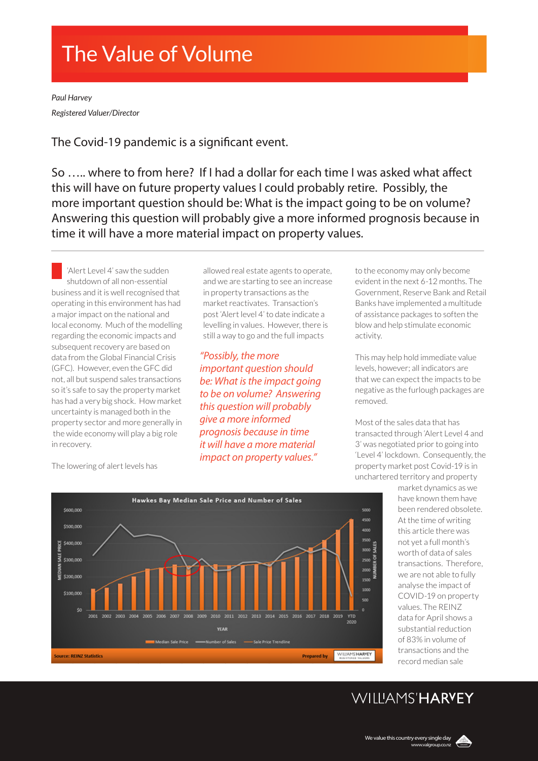# The Value of Volume

*Paul Harvey Registered Valuer/Director*

The Covid-19 pandemic is a significant event.

So ….. where to from here? If I had a dollar for each time I was asked what affect this will have on future property values I could probably retire. Possibly, the more important question should be: What is the impact going to be on volume? Answering this question will probably give a more informed prognosis because in time it will have a more material impact on property values.

'Alert Level 4' saw the sudden shutdown of all non-essential business and it is well recognised that operating in this environment has had a major impact on the national and local economy. Much of the modelling regarding the economic impacts and subsequent recovery are based on data from the Global Financial Crisis (GFC). However, even the GFC did not, all but suspend sales transactions so it's safe to say the property market has had a very big shock. How market uncertainty is managed both in the property sector and more generally in the wide economy will play a big role in recovery.

allowed real estate agents to operate, and we are starting to see an increase in property transactions as the market reactivates. Transaction's post 'Alert level 4' to date indicate a levelling in values. However, there is still a way to go and the full impacts

*"Possibly, the more important question should be: What is the impact going to be on volume? Answering this question will probably give a more informed prognosis because in time it will have a more material impact on property values."* 

to the economy may only become evident in the next 6-12 months. The Government, Reserve Bank and Retail Banks have implemented a multitude of assistance packages to soften the blow and help stimulate economic activity.

This may help hold immediate value levels, however; all indicators are that we can expect the impacts to be negative as the furlough packages are removed.

Most of the sales data that has transacted through 'Alert Level 4 and 3' was negotiated prior to going into 'Level 4' lockdown. Consequently, the property market post Covid-19 is in unchartered territory and property

> market dynamics as we have known them have been rendered obsolete. At the time of writing this article there was not yet a full month's worth of data of sales transactions. Therefore, we are not able to fully analyse the impact of COVID-19 on property values. The REINZ data for April shows a substantial reduction of 83% in volume of transactions and the record median sale



The lowering of alert levels has

### WIIIIAMS'HARVEY